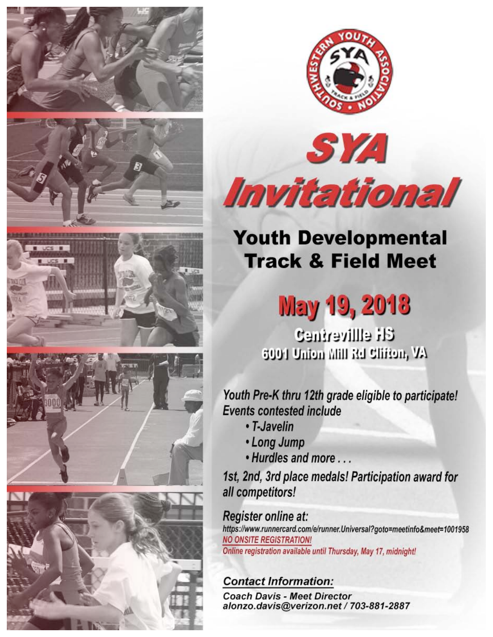













# **Youth Developmental Track & Field Meet**

# **May 19, 2018**

**CH ellliverine?** 6001 Union Mill Rd Clifton, VA

Youth Pre-K thru 12th grade eligible to participate! **Events contested include** 

- T-Javelin
- Long Jump
- . Hurdles and more ...

1st, 2nd, 3rd place medals! Participation award for all competitors!

# Register online at:

https://www.runnercard.com/e/runner.Universal?goto=meetinfo&meet=1001958 **NO ONSITE REGISTRATION!** Online registration available until Thursday, May 17, midnight!

# **Contact Information:**

**Coach Davis - Meet Director** alonzo.davis@verizon.net / 703-881-2887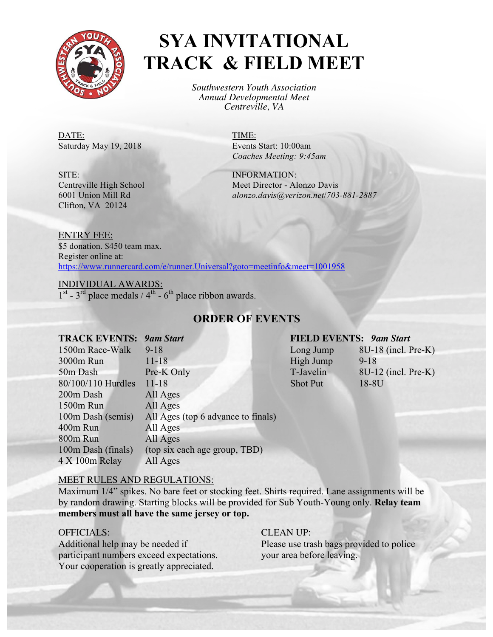

# **SYA INVITATIONAL TRACK & FIELD MEET**

*Southwestern Youth Association Annual Developmental Meet Centreville, VA*

DATE: TIME: Saturday May 19, 2018 Events Start: 10:00am

*Coaches Meeting: 9:45am*

Centreville High School Meet Director - Alonzo Davis 6001 Union Mill Rd *alonzo.davis@verizon.net*/*703-881-2887*

SITE: INFORMATION: Clifton, VA 20124

ENTRY FEE: \$5 donation. \$450 team max. Register online at: https://www.runnercard.com/e/runner.Universal?goto=meetinfo&meet=1001958

INDIVIDUAL AWARDS:  $1<sup>st</sup> - 3<sup>rd</sup>$  place medals / 4<sup>th</sup> - 6<sup>th</sup> place ribbon awards.

### **ORDER OF EVENTS**

#### **TRACK EVENTS:** *9am Start* **FIELD EVENTS:** *9am Start*

| 1500m Race-Walk    | $9 - 18$                           | Long Jump       | 8U-18 (incl. Pre-K) |
|--------------------|------------------------------------|-----------------|---------------------|
| 3000m Run          | $11 - 18$                          | High Jump       | $9 - 18$            |
| 50m Dash           | Pre-K Only                         | T-Javelin       | 8U-12 (incl. Pre-K) |
| 80/100/110 Hurdles | $11 - 18$                          | <b>Shot Put</b> | 18-8U               |
| 200m Dash          | All Ages                           |                 |                     |
| 1500m Run          | All Ages                           |                 |                     |
| 100m Dash (semis)  | All Ages (top 6 advance to finals) |                 |                     |
| 400m Run           | All Ages                           |                 |                     |
| 800m Run           | All Ages                           |                 |                     |
| 100m Dash (finals) | (top six each age group, TBD)      |                 |                     |
| 4 X 100m Relay     | All Ages                           |                 |                     |

| Long Jump       | 8U-18 (incl. Pre-K |
|-----------------|--------------------|
| High Jump       | $9 - 18$           |
| T-Javelin       | 8U-12 (incl. Pre-K |
| <b>Shot Put</b> | 18-8U              |

### MEET RULES AND REGULATIONS:

Maximum 1/4" spikes. No bare feet or stocking feet. Shirts required. Lane assignments will be by random drawing. Starting blocks will be provided for Sub Youth-Young only. **Relay team members must all have the same jersey or top.**

#### OFFICIALS: CLEAN UP:

Additional help may be needed if Please use trash bags provided to police participant numbers exceed expectations. your area before leaving. Your cooperation is greatly appreciated.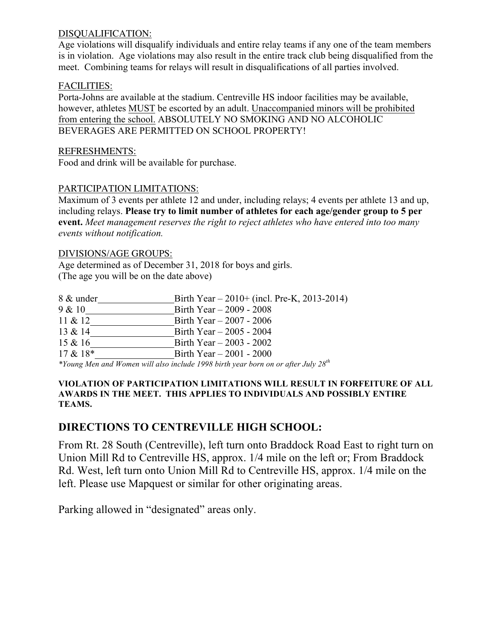### DISQUALIFICATION:

Age violations will disqualify individuals and entire relay teams if any one of the team members is in violation. Age violations may also result in the entire track club being disqualified from the meet. Combining teams for relays will result in disqualifications of all parties involved.

#### FACILITIES:

Porta-Johns are available at the stadium. Centreville HS indoor facilities may be available, however, athletes MUST be escorted by an adult. Unaccompanied minors will be prohibited from entering the school. ABSOLUTELY NO SMOKING AND NO ALCOHOLIC BEVERAGES ARE PERMITTED ON SCHOOL PROPERTY!

#### REFRESHMENTS:

Food and drink will be available for purchase.

#### PARTICIPATION LIMITATIONS:

Maximum of 3 events per athlete 12 and under, including relays; 4 events per athlete 13 and up, including relays. **Please try to limit number of athletes for each age/gender group to 5 per event.** *Meet management reserves the right to reject athletes who have entered into too many events without notification.*

#### DIVISIONS/AGE GROUPS:

Age determined as of December 31, 2018 for boys and girls. (The age you will be on the date above)

| 8 & under  | Birth Year $-2010+$ (incl. Pre-K, 2013-2014)                                           |
|------------|----------------------------------------------------------------------------------------|
| 9 & 10     | Birth Year $-2009 - 2008$                                                              |
| $11 \& 12$ | Birth Year $-2007 - 2006$                                                              |
| 13 & 14    | Birth Year $-2005 - 2004$                                                              |
| 15 & 16    | Birth Year $-2003 - 2002$                                                              |
| $17 & 18*$ | Birth Year $-2001 - 2000$                                                              |
|            | *Young Men and Women will also include 1998 birth year born on or after July $28^{th}$ |

#### **VIOLATION OF PARTICIPATION LIMITATIONS WILL RESULT IN FORFEITURE OF ALL AWARDS IN THE MEET. THIS APPLIES TO INDIVIDUALS AND POSSIBLY ENTIRE TEAMS.**

### **DIRECTIONS TO CENTREVILLE HIGH SCHOOL:**

From Rt. 28 South (Centreville), left turn onto Braddock Road East to right turn on Union Mill Rd to Centreville HS, approx. 1/4 mile on the left or; From Braddock Rd. West, left turn onto Union Mill Rd to Centreville HS, approx. 1/4 mile on the left. Please use Mapquest or similar for other originating areas.

Parking allowed in "designated" areas only.